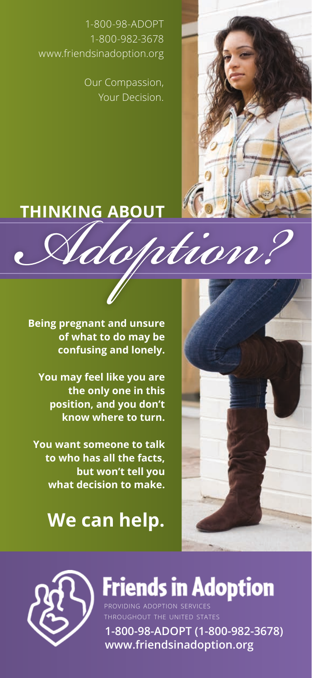1-800-98-ADOPT 1-800-982-3678 www.friendsinadoption.org

> Our Compassion, Your Decision.

## **THINKING ABOUT**

**Being pregnant and unsure of what to do may be confusing and lonely.**

**You may feel like you are the only one in this position, and you don't know where to turn.**

**You want someone to talk to who has all the facts, but won't tell you what decision to make.**

# **We can help.**





**Friends in Adoption** 

**1-800-98-ADOPT (1-800-982-3678) www.friendsinadoption.org** providing adoption services